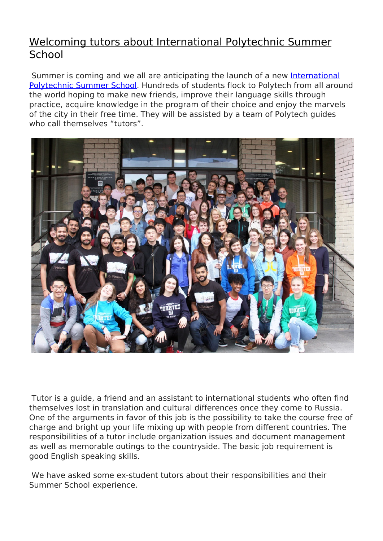## [Welcoming tutors about International Polytechnic Summer](http://english.spbstu.ru/media/news/international_activities/sea-opportunities-international-polytechnical-summer-school/) **[School](http://english.spbstu.ru/media/news/international_activities/sea-opportunities-international-polytechnical-summer-school/)**

 Summer is coming and we all are anticipating the launch of a new [International](/education/programs/short-term-programs/summer-school/) [Polytechnic Summer School.](/education/programs/short-term-programs/summer-school/) Hundreds of students flock to Polytech from all around the world hoping to make new friends, improve their language skills through practice, acquire knowledge in the program of their choice and enjoy the marvels of the city in their free time. They will be assisted by a team of Polytech guides who call themselves "tutors".



 Tutor is a guide, a friend and an assistant to international students who often find themselves lost in translation and cultural differences once they come to Russia. One of the arguments in favor of this job is the possibility to take the course free of charge and bright up your life mixing up with people from different countries. The responsibilities of a tutor include organization issues and document management as well as memorable outings to the countryside. The basic job requirement is good English speaking skills.

We have asked some ex-student tutors about their responsibilities and their Summer School experience.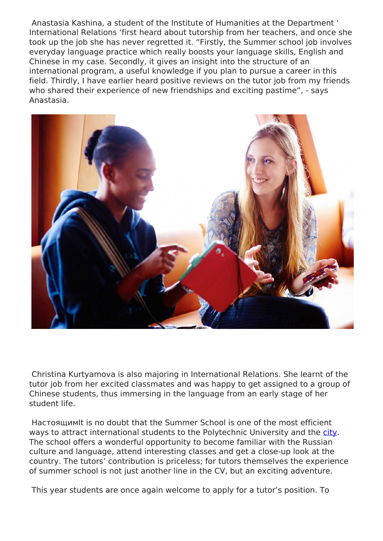Anastasia Kashina, a student of the Institute of Humanities at the Department ' International Relations 'first heard about tutorship from her teachers, and once she took up the job she has never regretted it. "Firstly, the Summer school job involves everyday language practice which really boosts your language skills, English and Chinese in my case. Secondly, it gives an insight into the structure of an international program, a useful knowledge if you plan to pursue a career in this field. Thirdly, I have earlier heard positive reviews on the tutor job from my friends who shared their experience of new friendships and exciting pastime", - says Anastasia.



 Christina Kurtyamova is also majoring in International Relations. She learnt of the tutor job from her excited classmates and was happy to get assigned to a group of Chinese students, thus immersing in the language from an early stage of her student life.

 НастоящимIt is no doubt that the Summer School is one of the most efficient ways to attract international students to the Polytechnic University and the [city](/education/students-life/about-st-petersburg/). The school offers a wonderful opportunity to become familiar with the Russian culture and language, attend interesting classes and get a close-up look at the country. The tutors' contribution is priceless; for tutors themselves the experience of summer school is not just another line in the CV, but an exciting adventure.

This year students are once again welcome to apply for a tutor's position. To